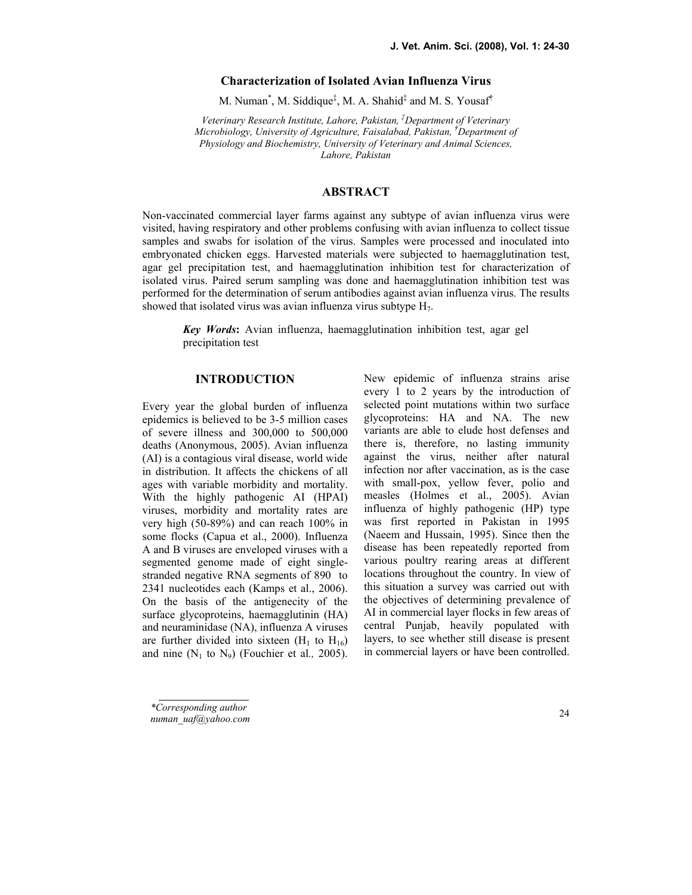## Characterization of Isolated Avian Influenza Virus

M. Numan<sup>\*</sup>, M. Siddique<sup>‡</sup>, M. A. Shahid<sup>‡</sup> and M. S. Yousaf<sup>†</sup>

Veterinary Research Institute, Lahore, Pakistan,  ${}^{\ddagger}$ Department of Veterinary Microbiology, University of Agriculture, Faisalabad, Pakistan, †Department of Physiology and Biochemistry, University of Veterinary and Animal Sciences, Lahore, Pakistan

## ABSTRACT

Non-vaccinated commercial layer farms against any subtype of avian influenza virus were visited, having respiratory and other problems confusing with avian influenza to collect tissue samples and swabs for isolation of the virus. Samples were processed and inoculated into embryonated chicken eggs. Harvested materials were subjected to haemagglutination test, agar gel precipitation test, and haemagglutination inhibition test for characterization of isolated virus. Paired serum sampling was done and haemagglutination inhibition test was performed for the determination of serum antibodies against avian influenza virus. The results showed that isolated virus was avian influenza virus subtype  $H_7$ .

Key Words: Avian influenza, haemagglutination inhibition test, agar gel precipitation test

## **INTRODUCTION**

Every year the global burden of influenza epidemics is believed to be 3-5 million cases of severe illness and 300,000 to 500,000 deaths (Anonymous, 2005). Avian influenza (AI) is a contagious viral disease, world wide in distribution. It affects the chickens of all ages with variable morbidity and mortality. With the highly pathogenic AI (HPAI) viruses, morbidity and mortality rates are very high (50-89%) and can reach 100% in some flocks (Capua et al., 2000). Influenza A and B viruses are enveloped viruses with a segmented genome made of eight singlestranded negative RNA segments of 890 to 2341 nucleotides each (Kamps et al., 2006). On the basis of the antigenecity of the surface glycoproteins, haemagglutinin (HA) and neuraminidase (NA), influenza A viruses are further divided into sixteen  $(H_1$  to  $H_{16})$ and nine  $(N_1 \text{ to } N_9)$  (Fouchier et al., 2005). New epidemic of influenza strains arise every 1 to 2 years by the introduction of selected point mutations within two surface glycoproteins: HA and NA. The new variants are able to elude host defenses and there is, therefore, no lasting immunity against the virus, neither after natural infection nor after vaccination, as is the case with small-pox, yellow fever, polio and measles (Holmes et al., 2005). Avian influenza of highly pathogenic (HP) type was first reported in Pakistan in 1995 (Naeem and Hussain, 1995). Since then the disease has been repeatedly reported from various poultry rearing areas at different locations throughout the country. In view of this situation a survey was carried out with the objectives of determining prevalence of AI in commercial layer flocks in few areas of central Punjab, heavily populated with layers, to see whether still disease is present in commercial layers or have been controlled.

\*Corresponding author numan\_uaf@yahoo.com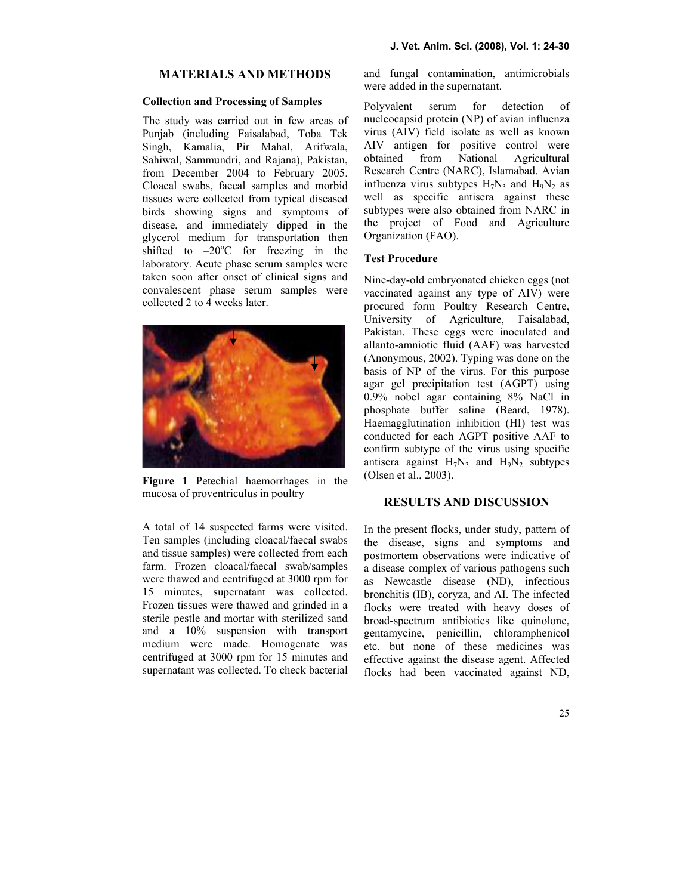## **MATERIALS AND METHODS**

#### Collection and Processing of Samples

The study was carried out in few areas of Punjab (including Faisalabad, Toba Tek Singh, Kamalia, Pir Mahal, Arifwala, Sahiwal, Sammundri, and Rajana), Pakistan, from December 2004 to February 2005. Cloacal swabs, faecal samples and morbid tissues were collected from typical diseased birds showing signs and symptoms of disease, and immediately dipped in the glycerol medium for transportation then shifted to  $-20^{\circ}$ C for freezing in the laboratory. Acute phase serum samples were taken soon after onset of clinical signs and convalescent phase serum samples were collected 2 to 4 weeks later.



Figure 1 Petechial haemorrhages in the mucosa of proventriculus in poultry

A total of 14 suspected farms were visited. Ten samples (including cloacal/faecal swabs and tissue samples) were collected from each farm. Frozen cloacal/faecal swab/samples were thawed and centrifuged at 3000 rpm for 15 minutes, supernatant was collected. Frozen tissues were thawed and grinded in a sterile pestle and mortar with sterilized sand and a 10% suspension with transport medium were made. Homogenate was centrifuged at 3000 rpm for 15 minutes and supernatant was collected. To check bacterial and fungal contamination, antimicrobials were added in the supernatant.

Polyvalent serum for detection of nucleocapsid protein (NP) of avian influenza virus (AIV) field isolate as well as known AIV antigen for positive control were obtained from National Agricultural Research Centre (NARC), Islamabad. Avian influenza virus subtypes  $H_7N_3$  and  $H_9N_2$  as well as specific antisera against these subtypes were also obtained from NARC in the project of Food and Agriculture Organization (FAO).

## Test Procedure

Nine-day-old embryonated chicken eggs (not vaccinated against any type of AIV) were procured form Poultry Research Centre, University of Agriculture, Faisalabad, Pakistan. These eggs were inoculated and allanto-amniotic fluid (AAF) was harvested (Anonymous, 2002). Typing was done on the basis of NP of the virus. For this purpose agar gel precipitation test (AGPT) using 0.9% nobel agar containing 8% NaCl in phosphate buffer saline (Beard, 1978). Haemagglutination inhibition (HI) test was conducted for each AGPT positive AAF to confirm subtype of the virus using specific antisera against  $H_7N_3$  and  $H_9N_2$  subtypes (Olsen et al., 2003).

# RESULTS AND DISCUSSION

In the present flocks, under study, pattern of the disease, signs and symptoms and postmortem observations were indicative of a disease complex of various pathogens such as Newcastle disease (ND), infectious bronchitis (IB), coryza, and AI. The infected flocks were treated with heavy doses of broad-spectrum antibiotics like quinolone, gentamycine, penicillin, chloramphenicol etc. but none of these medicines was effective against the disease agent. Affected flocks had been vaccinated against ND,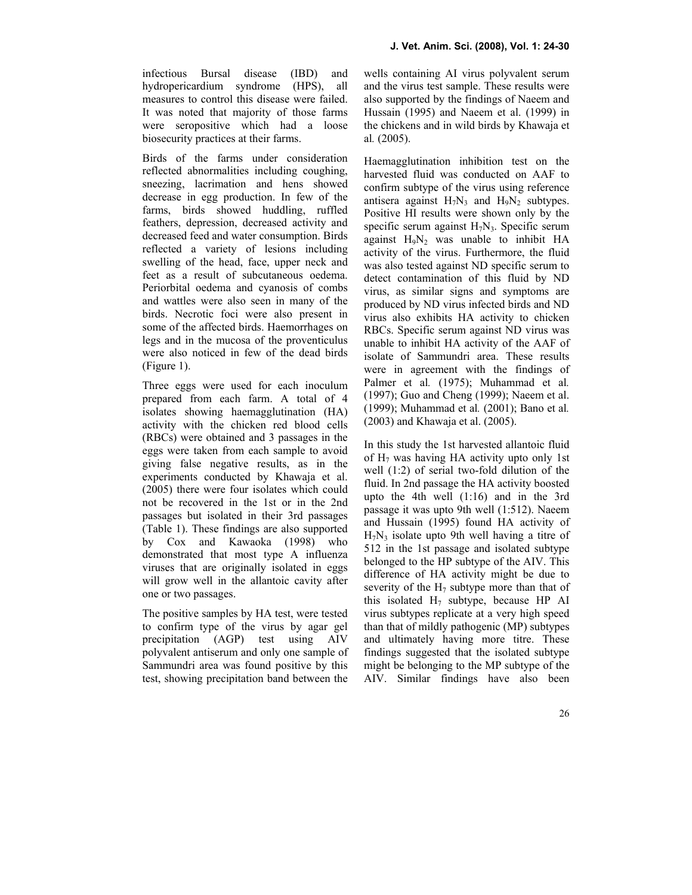infectious Bursal disease (IBD) and hydropericardium syndrome (HPS), all measures to control this disease were failed. It was noted that majority of those farms were seropositive which had a loose biosecurity practices at their farms.

Birds of the farms under consideration reflected abnormalities including coughing, sneezing, lacrimation and hens showed decrease in egg production. In few of the farms, birds showed huddling, ruffled feathers, depression, decreased activity and decreased feed and water consumption. Birds reflected a variety of lesions including swelling of the head, face, upper neck and feet as a result of subcutaneous oedema. Periorbital oedema and cyanosis of combs and wattles were also seen in many of the birds. Necrotic foci were also present in some of the affected birds. Haemorrhages on legs and in the mucosa of the proventiculus were also noticed in few of the dead birds (Figure 1).

Three eggs were used for each inoculum prepared from each farm. A total of 4 isolates showing haemagglutination (HA) activity with the chicken red blood cells (RBCs) were obtained and 3 passages in the eggs were taken from each sample to avoid giving false negative results, as in the experiments conducted by Khawaja et al. (2005) there were four isolates which could not be recovered in the 1st or in the 2nd passages but isolated in their 3rd passages (Table 1). These findings are also supported by Cox and Kawaoka (1998) who demonstrated that most type A influenza viruses that are originally isolated in eggs will grow well in the allantoic cavity after one or two passages.

The positive samples by HA test, were tested to confirm type of the virus by agar gel precipitation (AGP) test using AIV polyvalent antiserum and only one sample of Sammundri area was found positive by this test, showing precipitation band between the wells containing AI virus polyvalent serum and the virus test sample. These results were also supported by the findings of Naeem and Hussain (1995) and Naeem et al. (1999) in the chickens and in wild birds by Khawaja et al. (2005).

Haemagglutination inhibition test on the harvested fluid was conducted on AAF to confirm subtype of the virus using reference antisera against  $H_7N_3$  and  $H_9N_2$  subtypes. Positive HI results were shown only by the specific serum against  $H_7N_3$ . Specific serum against  $H_9N_2$  was unable to inhibit HA activity of the virus. Furthermore, the fluid was also tested against ND specific serum to detect contamination of this fluid by ND virus, as similar signs and symptoms are produced by ND virus infected birds and ND virus also exhibits HA activity to chicken RBCs. Specific serum against ND virus was unable to inhibit HA activity of the AAF of isolate of Sammundri area. These results were in agreement with the findings of Palmer et al. (1975); Muhammad et al. (1997); Guo and Cheng (1999); Naeem et al. (1999); Muhammad et al. (2001); Bano et al. (2003) and Khawaja et al. (2005).

In this study the 1st harvested allantoic fluid of  $H_7$  was having HA activity upto only 1st well (1:2) of serial two-fold dilution of the fluid. In 2nd passage the HA activity boosted upto the 4th well (1:16) and in the 3rd passage it was upto 9th well (1:512). Naeem and Hussain (1995) found HA activity of  $H_7N_3$  isolate upto 9th well having a titre of 512 in the 1st passage and isolated subtype belonged to the HP subtype of the AIV. This difference of HA activity might be due to severity of the  $H_7$  subtype more than that of this isolated  $H_7$  subtype, because HP AI virus subtypes replicate at a very high speed than that of mildly pathogenic (MP) subtypes and ultimately having more titre. These findings suggested that the isolated subtype might be belonging to the MP subtype of the AIV. Similar findings have also been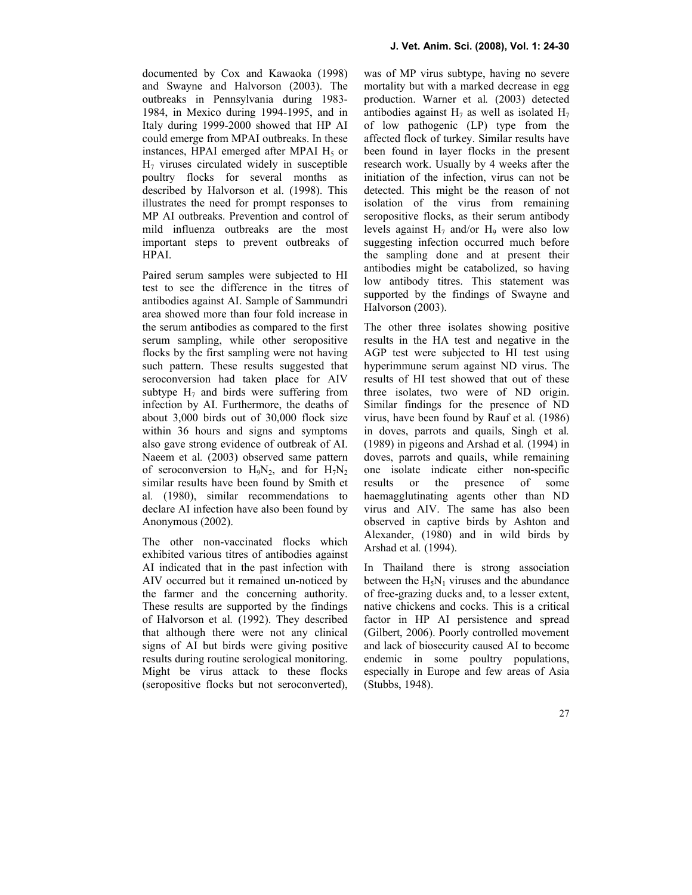documented by Cox and Kawaoka (1998) and Swayne and Halvorson (2003). The outbreaks in Pennsylvania during 1983- 1984, in Mexico during 1994-1995, and in Italy during 1999-2000 showed that HP AI could emerge from MPAI outbreaks. In these instances, HPAI emerged after MPAI  $H<sub>5</sub>$  or H7 viruses circulated widely in susceptible poultry flocks for several months as described by Halvorson et al. (1998). This illustrates the need for prompt responses to MP AI outbreaks. Prevention and control of mild influenza outbreaks are the most important steps to prevent outbreaks of HPAI.

Paired serum samples were subjected to HI test to see the difference in the titres of antibodies against AI. Sample of Sammundri area showed more than four fold increase in the serum antibodies as compared to the first serum sampling, while other seropositive flocks by the first sampling were not having such pattern. These results suggested that seroconversion had taken place for AIV subtype  $H_7$  and birds were suffering from infection by AI. Furthermore, the deaths of about 3,000 birds out of 30,000 flock size within 36 hours and signs and symptoms also gave strong evidence of outbreak of AI. Naeem et al. (2003) observed same pattern of seroconversion to  $H_9N_2$ , and for  $H_7N_2$ similar results have been found by Smith et al. (1980), similar recommendations to declare AI infection have also been found by Anonymous (2002).

The other non-vaccinated flocks which exhibited various titres of antibodies against AI indicated that in the past infection with AIV occurred but it remained un-noticed by the farmer and the concerning authority. These results are supported by the findings of Halvorson et al. (1992). They described that although there were not any clinical signs of AI but birds were giving positive results during routine serological monitoring. Might be virus attack to these flocks (seropositive flocks but not seroconverted), was of MP virus subtype, having no severe mortality but with a marked decrease in egg production. Warner et al. (2003) detected antibodies against  $H_7$  as well as isolated  $H_7$ of low pathogenic (LP) type from the affected flock of turkey. Similar results have been found in layer flocks in the present research work. Usually by 4 weeks after the initiation of the infection, virus can not be detected. This might be the reason of not isolation of the virus from remaining seropositive flocks, as their serum antibody levels against  $H_7$  and/or  $H_9$  were also low suggesting infection occurred much before the sampling done and at present their antibodies might be catabolized, so having low antibody titres. This statement was supported by the findings of Swayne and Halvorson (2003).

The other three isolates showing positive results in the HA test and negative in the AGP test were subjected to HI test using hyperimmune serum against ND virus. The results of HI test showed that out of these three isolates, two were of ND origin. Similar findings for the presence of ND virus, have been found by Rauf et al. (1986) in doves, parrots and quails, Singh et al. (1989) in pigeons and Arshad et al. (1994) in doves, parrots and quails, while remaining one isolate indicate either non-specific results or the presence of some haemagglutinating agents other than ND virus and AIV. The same has also been observed in captive birds by Ashton and Alexander, (1980) and in wild birds by Arshad et al. (1994).

In Thailand there is strong association between the  $H_5N_1$  viruses and the abundance of free-grazing ducks and, to a lesser extent, native chickens and cocks. This is a critical factor in HP AI persistence and spread (Gilbert, 2006). Poorly controlled movement and lack of biosecurity caused AI to become endemic in some poultry populations, especially in Europe and few areas of Asia (Stubbs, 1948).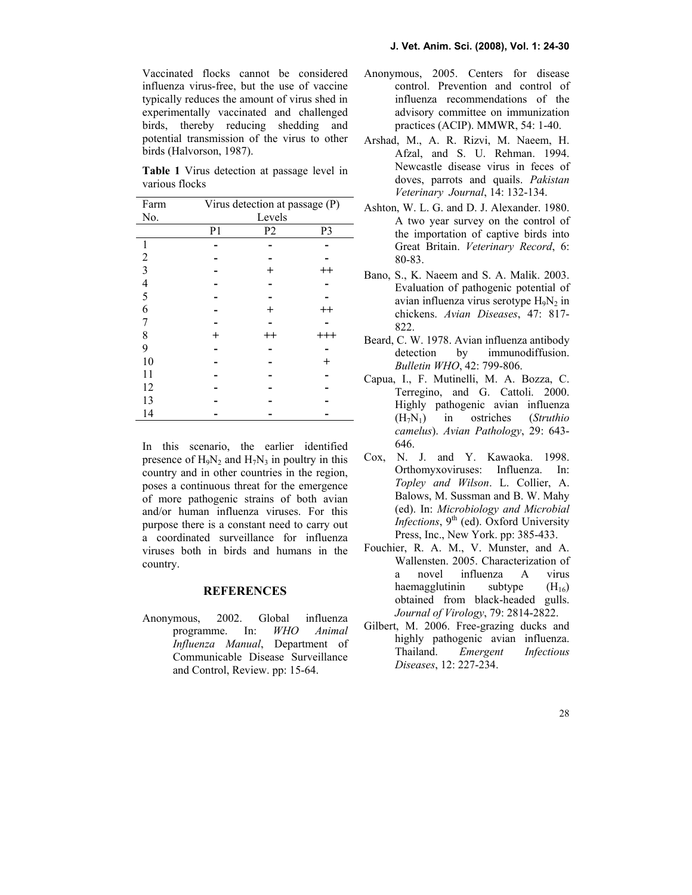Vaccinated flocks cannot be considered influenza virus-free, but the use of vaccine typically reduces the amount of virus shed in experimentally vaccinated and challenged birds, thereby reducing shedding and potential transmission of the virus to other birds (Halvorson, 1987).

Table 1 Virus detection at passage level in various flocks

| Farm                                       | Virus detection at passage (P) |                |                  |
|--------------------------------------------|--------------------------------|----------------|------------------|
| No.                                        | Levels                         |                |                  |
|                                            | P <sub>1</sub>                 | P <sub>2</sub> | P <sub>3</sub>   |
|                                            |                                |                |                  |
| $\sqrt{2}$                                 |                                |                |                  |
| $\begin{array}{c} 3 \\ 4 \\ 5 \end{array}$ |                                |                | 4                |
|                                            |                                |                |                  |
|                                            |                                |                |                  |
| 6                                          |                                | $^+$           | -+               |
| $\overline{7}$                             |                                |                |                  |
| 8                                          | $^+$                           | $^{++}$        | $^{\mathrm{++}}$ |
| 9                                          |                                |                |                  |
| 10                                         |                                |                |                  |
| 11                                         |                                |                |                  |
| 12                                         |                                |                |                  |
| 13                                         |                                |                |                  |
| 14                                         |                                |                |                  |

In this scenario, the earlier identified presence of  $H_9N_2$  and  $H_7N_3$  in poultry in this country and in other countries in the region, poses a continuous threat for the emergence of more pathogenic strains of both avian and/or human influenza viruses. For this purpose there is a constant need to carry out a coordinated surveillance for influenza viruses both in birds and humans in the country.

### **REFERENCES**

Anonymous, 2002. Global influenza programme. In: WHO Animal Influenza Manual, Department of Communicable Disease Surveillance and Control, Review. pp: 15-64.

- Anonymous, 2005. Centers for disease control. Prevention and control of influenza recommendations of the advisory committee on immunization practices (ACIP). MMWR, 54: 1-40.
- Arshad, M., A. R. Rizvi, M. Naeem, H. Afzal, and S. U. Rehman. 1994. Newcastle disease virus in feces of doves, parrots and quails. Pakistan Veterinary Journal, 14: 132-134.
- Ashton, W. L. G. and D. J. Alexander. 1980. A two year survey on the control of the importation of captive birds into Great Britain. Veterinary Record, 6: 80-83.
- Bano, S., K. Naeem and S. A. Malik. 2003. Evaluation of pathogenic potential of avian influenza virus serotype  $H_9N_2$  in chickens. Avian Diseases, 47: 817- 822.
- Beard, C. W. 1978. Avian influenza antibody detection by immunodiffusion. Bulletin WHO, 42: 799-806.
- Capua, I., F. Mutinelli, M. A. Bozza, C. Terregino, and G. Cattoli. 2000. Highly pathogenic avian influenza  $(H_7N_1)$  in ostriches (Struthio camelus). Avian Pathology, 29: 643- 646.
- Cox, N. J. and Y. Kawaoka. 1998. Orthomyxoviruses: Influenza. In: Topley and Wilson. L. Collier, A. Balows, M. Sussman and B. W. Mahy (ed). In: Microbiology and Microbial Infections,  $9<sup>th</sup>$  (ed). Oxford University Press, Inc., New York. pp: 385-433.
- Fouchier, R. A. M., V. Munster, and A. Wallensten. 2005. Characterization of a novel influenza A virus haemagglutinin subtype  $(H_{16})$ obtained from black-headed gulls. Journal of Virology, 79: 2814-2822.
- Gilbert, M. 2006. Free-grazing ducks and highly pathogenic avian influenza. Thailand. Emergent Infectious Diseases, 12: 227-234.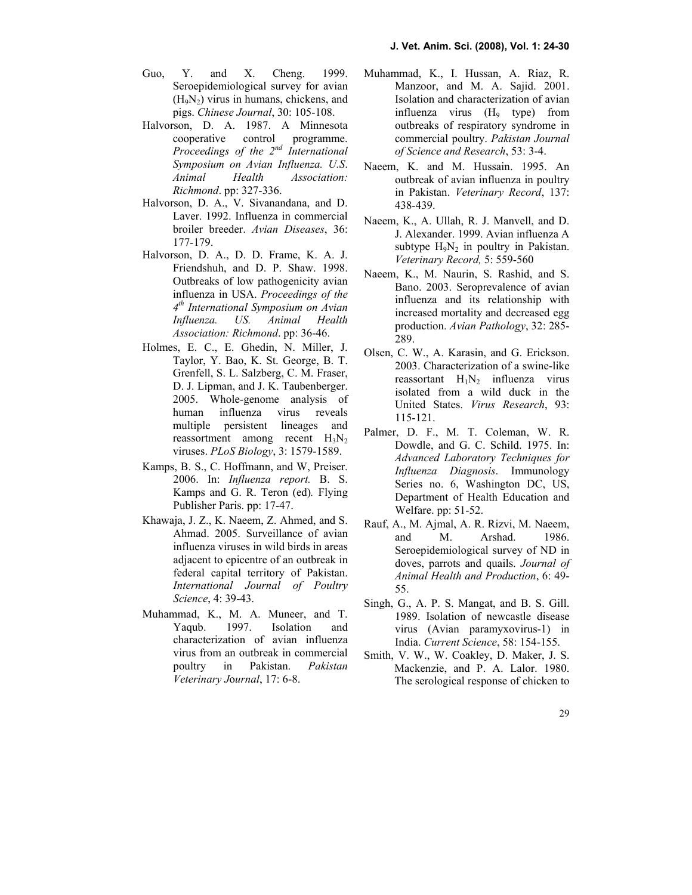- Guo, Y. and X. Cheng. 1999. Seroepidemiological survey for avian  $(H_9N_2)$  virus in humans, chickens, and pigs. Chinese Journal, 30: 105-108.
- Halvorson, D. A. 1987. A Minnesota cooperative control programme. Proceedings of the  $2^{nd}$  International Symposium on Avian Influenza. U.S. Animal Health Association: Richmond. pp: 327-336.
- Halvorson, D. A., V. Sivanandana, and D. Laver. 1992. Influenza in commercial broiler breeder. Avian Diseases, 36: 177-179.
- Halvorson, D. A., D. D. Frame, K. A. J. Friendshuh, and D. P. Shaw. 1998. Outbreaks of low pathogenicity avian influenza in USA. Proceedings of the 4<sup>th</sup> International Symposium on Avian Influenza. US. Animal Health Association: Richmond. pp: 36-46.
- Holmes, E. C., E. Ghedin, N. Miller, J. Taylor, Y. Bao, K. St. George, B. T. Grenfell, S. L. Salzberg, C. M. Fraser, D. J. Lipman, and J. K. Taubenberger. 2005. Whole-genome analysis of human influenza virus reveals multiple persistent lineages and reassortment among recent  $H_3N_2$ viruses. PLoS Biology, 3: 1579-1589.
- Kamps, B. S., C. Hoffmann, and W, Preiser. 2006. In: Influenza report. B. S. Kamps and G. R. Teron (ed). Flying Publisher Paris. pp: 17-47.
- Khawaja, J. Z., K. Naeem, Z. Ahmed, and S. Ahmad. 2005. Surveillance of avian influenza viruses in wild birds in areas adjacent to epicentre of an outbreak in federal capital territory of Pakistan. International Journal of Poultry Science, 4: 39-43.
- Muhammad, K., M. A. Muneer, and T. Yaqub. 1997. Isolation and characterization of avian influenza virus from an outbreak in commercial poultry in Pakistan. Pakistan Veterinary Journal, 17: 6-8.
- Muhammad, K., I. Hussan, A. Riaz, R. Manzoor, and M. A. Sajid. 2001. Isolation and characterization of avian influenza virus (H<sub>9</sub> type) from outbreaks of respiratory syndrome in commercial poultry. Pakistan Journal of Science and Research, 53: 3-4.
- Naeem, K. and M. Hussain. 1995. An outbreak of avian influenza in poultry in Pakistan. Veterinary Record, 137: 438-439.
- Naeem, K., A. Ullah, R. J. Manvell, and D. J. Alexander. 1999. Avian influenza A subtype  $H_9N_2$  in poultry in Pakistan. Veterinary Record, 5: 559-560
- Naeem, K., M. Naurin, S. Rashid, and S. Bano. 2003. Seroprevalence of avian influenza and its relationship with increased mortality and decreased egg production. Avian Pathology, 32: 285- 289.
- Olsen, C. W., A. Karasin, and G. Erickson. 2003. Characterization of a swine-like reassortant  $H_1N_2$  influenza virus isolated from a wild duck in the United States. Virus Research, 93: 115-121.
- Palmer, D. F., M. T. Coleman, W. R. Dowdle, and G. C. Schild. 1975. In: Advanced Laboratory Techniques for Influenza Diagnosis. Immunology Series no. 6, Washington DC, US, Department of Health Education and Welfare. pp: 51-52.
- Rauf, A., M. Ajmal, A. R. Rizvi, M. Naeem, and M. Arshad. 1986. Seroepidemiological survey of ND in doves, parrots and quails. Journal of Animal Health and Production, 6: 49- 55.
- Singh, G., A. P. S. Mangat, and B. S. Gill. 1989. Isolation of newcastle disease virus (Avian paramyxovirus-1) in India. Current Science, 58: 154-155.
- Smith, V. W., W. Coakley, D. Maker, J. S. Mackenzie, and P. A. Lalor. 1980. The serological response of chicken to